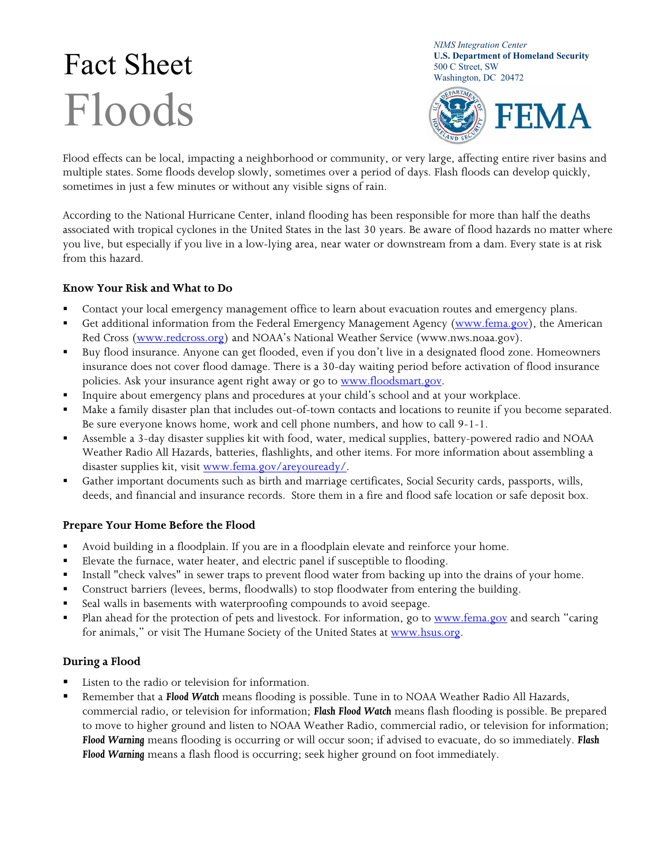# $\text{Fact} \text{Set}_{\text{S00 C Street, SW}}^{\text{U.S. Department of Ho}}$ Floods

*NIMS Integration Center*  **U.S. Department of Homeland Security** 



Flood effects can be local, impacting a neighborhood or community, or very large, affecting entire river basins and multiple states. Some floods develop slowly, sometimes over a period of days. Flash floods can develop quickly, sometimes in just a few minutes or without any visible signs of rain.

According to the National Hurricane Center, inland flooding has been responsible for more than half the deaths associated with tropical cyclones in the United States in the last 30 years. Be aware of flood hazards no matter where you live, but especially if you live in a low-lying area, near water or downstream from a dam. Every state is at risk from this hazard.

## **Know Your Risk and What to Do**

- Contact your local emergency management office to learn about evacuation routes and emergency plans.
- Get additional information from the Federal Emergency Management Agency (www.fema.gov), the American Red Cross (www.redcross.org) and NOAA's National Weather Service (www.nws.noaa.gov).
- Buy flood insurance. Anyone can get flooded, even if you don't live in a designated flood zone. Homeowners insurance does not cover flood damage. There is a 30-day waiting period before activation of flood insurance policies. Ask your insurance agent right away or go to www.floodsmart.gov.
- Inquire about emergency plans and procedures at your child's school and at your workplace.
- Make a family disaster plan that includes out-of-town contacts and locations to reunite if you become separated. Be sure everyone knows home, work and cell phone numbers, and how to call 9-1-1.
- Assemble a 3-day disaster supplies kit with food, water, medical supplies, battery-powered radio and NOAA Weather Radio All Hazards, batteries, flashlights, and other items. For more information about assembling a disaster supplies kit, visit www.fema.gov/areyouready/.
- Gather important documents such as birth and marriage certificates, Social Security cards, passports, wills, deeds, and financial and insurance records. Store them in a fire and flood safe location or safe deposit box.

## **Prepare Your Home Before the Flood**

- Avoid building in a floodplain. If you are in a floodplain elevate and reinforce your home.
- Elevate the furnace, water heater, and electric panel if susceptible to flooding.
- Install "check valves" in sewer traps to prevent flood water from backing up into the drains of your home.
- Construct barriers (levees, berms, floodwalls) to stop floodwater from entering the building.
- Seal walls in basements with waterproofing compounds to avoid seepage.
- Plan ahead for the protection of pets and livestock. For information, go to www.fema.gov and search "caring for animals," or visit The Humane Society of the United States at www.hsus.org.

## **During a Flood**

- Listen to the radio or television for information.
- Remember that a *Flood Watch* means flooding is possible. Tune in to NOAA Weather Radio All Hazards, commercial radio, or television for information; *Flash Flood Watch* means flash flooding is possible. Be prepared to move to higher ground and listen to NOAA Weather Radio, commercial radio, or television for information; *Flood Warning* means flooding is occurring or will occur soon; if advised to evacuate, do so immediately. *Flash Flood Warning* means a flash flood is occurring; seek higher ground on foot immediately.